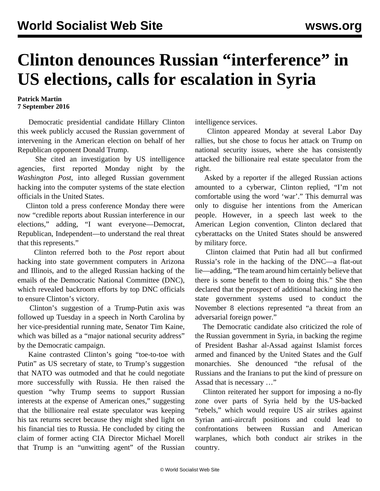## **Clinton denounces Russian "interference" in US elections, calls for escalation in Syria**

## **Patrick Martin 7 September 2016**

 Democratic presidential candidate Hillary Clinton this week publicly accused the Russian government of intervening in the American election on behalf of her Republican opponent Donald Trump.

 She cited an investigation by US intelligence agencies, first reported Monday night by the *Washington Post*, into alleged Russian government hacking into the computer systems of the state election officials in the United States.

 Clinton told a press conference Monday there were now "credible reports about Russian interference in our elections," adding, "I want everyone—Democrat, Republican, Independent—to understand the real threat that this represents."

 Clinton referred both to the *Post* report about hacking into state government computers in Arizona and Illinois, and to the alleged Russian hacking of the emails of the Democratic National Committee (DNC), which revealed backroom efforts by top DNC officials to ensure Clinton's victory.

 Clinton's suggestion of a Trump-Putin axis was followed up Tuesday in a speech in North Carolina by her vice-presidential running mate, Senator Tim Kaine, which was billed as a "major national security address" by the Democratic campaign.

 Kaine contrasted Clinton's going "toe-to-toe with Putin" as US secretary of state, to Trump's suggestion that NATO was outmoded and that he could negotiate more successfully with Russia. He then raised the question "why Trump seems to support Russian interests at the expense of American ones," suggesting that the billionaire real estate speculator was keeping his tax returns secret because they might shed light on his financial ties to Russia. He concluded by citing the claim of former acting CIA Director Michael Morell that Trump is an "unwitting agent" of the Russian intelligence services.

 Clinton appeared Monday at several Labor Day rallies, but she chose to focus her attack on Trump on national security issues, where she has consistently attacked the billionaire real estate speculator from the right.

 Asked by a reporter if the alleged Russian actions amounted to a cyberwar, Clinton replied, "I'm not comfortable using the word 'war'." This demurral was only to disguise her intentions from the American people. However, in a speech last week to the American Legion convention, Clinton declared that cyberattacks on the United States should be answered by military force.

 Clinton claimed that Putin had all but confirmed Russia's role in the hacking of the DNC—a flat-out lie—adding, "The team around him certainly believe that there is some benefit to them to doing this." She then declared that the prospect of additional hacking into the state government systems used to conduct the November 8 elections represented "a threat from an adversarial foreign power."

 The Democratic candidate also criticized the role of the Russian government in Syria, in backing the regime of President Bashar al-Assad against Islamist forces armed and financed by the United States and the Gulf monarchies. She denounced "the refusal of the Russians and the Iranians to put the kind of pressure on Assad that is necessary …"

 Clinton reiterated her support for imposing a no-fly zone over parts of Syria held by the US-backed "rebels," which would require US air strikes against Syrian anti-aircraft positions and could lead to confrontations between Russian and American warplanes, which both conduct air strikes in the country.